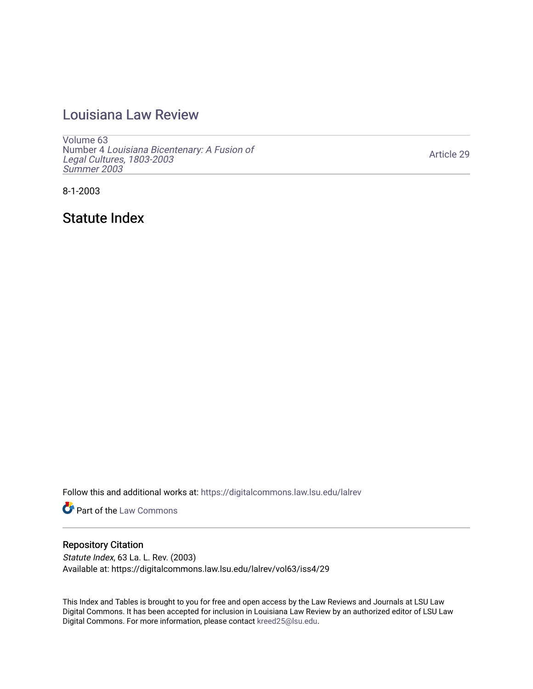# [Louisiana Law Review](https://digitalcommons.law.lsu.edu/lalrev)

[Volume 63](https://digitalcommons.law.lsu.edu/lalrev/vol63) Number 4 [Louisiana Bicentenary: A Fusion of](https://digitalcommons.law.lsu.edu/lalrev/vol63/iss4) [Legal Cultures, 1803-2003](https://digitalcommons.law.lsu.edu/lalrev/vol63/iss4) [Summer 2003](https://digitalcommons.law.lsu.edu/lalrev/vol63/iss4) 

[Article 29](https://digitalcommons.law.lsu.edu/lalrev/vol63/iss4/29) 

8-1-2003

Statute Index

Follow this and additional works at: [https://digitalcommons.law.lsu.edu/lalrev](https://digitalcommons.law.lsu.edu/lalrev?utm_source=digitalcommons.law.lsu.edu%2Flalrev%2Fvol63%2Fiss4%2F29&utm_medium=PDF&utm_campaign=PDFCoverPages)

**Part of the [Law Commons](https://network.bepress.com/hgg/discipline/578?utm_source=digitalcommons.law.lsu.edu%2Flalrev%2Fvol63%2Fiss4%2F29&utm_medium=PDF&utm_campaign=PDFCoverPages)** 

## Repository Citation

Statute Index, 63 La. L. Rev. (2003) Available at: https://digitalcommons.law.lsu.edu/lalrev/vol63/iss4/29

This Index and Tables is brought to you for free and open access by the Law Reviews and Journals at LSU Law Digital Commons. It has been accepted for inclusion in Louisiana Law Review by an authorized editor of LSU Law Digital Commons. For more information, please contact [kreed25@lsu.edu.](mailto:kreed25@lsu.edu)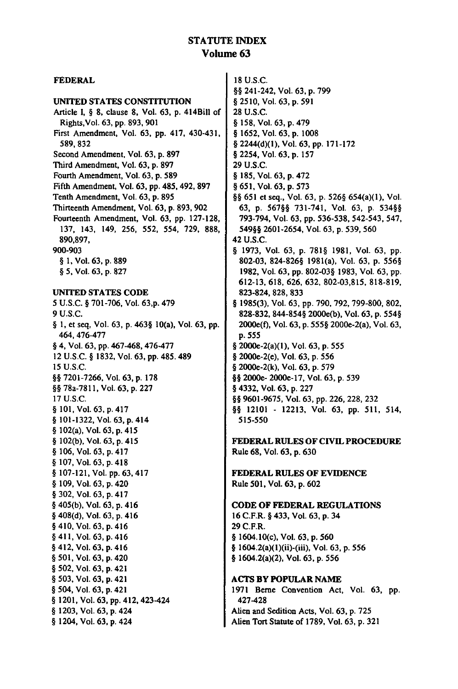### STATUTE INDEX Volume **63**

### **FEDERAL** 18 U.S.C. UNITED **STATES** CONSTITUTION Article **1, § 8,** clause **8,** Vol. **63, p.** 414Bill of Rights,Vol. 63, **pp. 893, 901**  First Amendment, Vol. **63, pp.** 417, 430-431, 589, **832**  Second Amendment, Vol. **63, p. 897**  Third Amendment, Vol. **63, p. 897**  Fourth Amendment, Vol. 63, **p. 589**  Fifth Amendment, Vol. **63, pp.** 485, 492, **897**  Tenth Amendment, Vol. **63, p. 895**  Thirteenth Amendment, Vol. **63, p. 893, 902**  Fourteenth Amendment, Vol. **63, pp. 127-128, 137,** 143, 149, **256, 552,** 554, **729, 888, 890,897,**  900-903 § **1,** Vol. 63, p. **889**  § 5, Vol. 63, **p. 827 UNITED STATES** CODE **5** U.S.C. § 701-706, Vol. 63,p. 479 9 U.S.C. **§ 1,** et seq, Vol. **63, p.** 463§ 10(a), Vol. 63, **pp.**  464,476-477 § 4, Vol. 63, pp. 467-468, 476-477 12 U.S.C. **§** 1832, Vol. **63,** pp. 485.489 15 U.S.C. **§§** 7201-7266, Vol. 63, p. **178 §** 78a-7811, Vol. **63,** p. 227 17 U.S.C. **§** 101, Vol. 63, p. 417 **§** 101-1322, Vol. 63, p. 414 **§** 102(a), Vol. 63, p. 415 § 102(b), Vol. 63, p. 415 § 106, Vol. 63, p. 417 § 107, Vol. 63, p. 418 § 107-121, Vol. pp. 63, 417 § 109, Vol. 63, p. 420 § 302, Vol. **63,** p. 417 § 405(b), Vol. 63, p. 416 § 408(d), Vol. 63, p. 416 § 410, Vol. 63, **p.** 416 § 411, Vol. 63, p. 416 § 412, Vol. 63, p. 416 § 501, Vol. 63, p. 420 § 502, Vol. 63, p. 421 § 503, Vol. **63, p.** 421 **§** 504, Vol. **63,** p. 421 § 1201, Vol. 63, pp. 412, 423-424 **§** 1203, Vol. 63, p. 424 § 1204, Vol. 63, p. 424

**§§** 241-242, Vol. **63, p. 799**  § 2510, Vol. **63,** p. 591 **28** U.S.C. § **158,** Vol. **63, p.** 479 § **1652,** Vol. **63, p.** 1008 § 2244(d)(1), Vol. 63, **pp. 171-172**  § 2254, Vol. 63, **p. 157 29 U.S.C.**  § **185,** Vol. **63,** *p.* 472 § 651, Vol. **63,** *p.* **573 §§ 651 et** seq., Vol. 63, **p. 526§** 654(a)(1), Vol. **63, p.** 567§§ 731-741, Vol. 63, p. 534§§ 793-794, Vol. 63, pp. 536-538, 542-543, 547, 549§§ 2601-2654, Vol. 63, p. 539, 560 42 U.S.C. § 1973, Vol. 63, p. 781§ 1981, Vol. 63, pp. 802-03, 824-826§ 1981(a), Vol. 63, p. 556§ 1982, Vol. 63, pp. 802-03§ 1983, Vol. 63, pp. 612-13, 618, 626, 632, 802-03,815, 818-819, 823-824, 828, 833 § 1985(3), Vol. 63, pp. 790, 792, 799-800, 802, 828-832, 844-854§ 2000e(b), Vol. 63, **p.** 554§ 2000e(f), Vol. 63, p. 555§ 2000e-2(a), Vol. 63, **p.** 555 § 2000e-2(a)(l), Vol. **63, p.** 555 § 2000e-2(e), Vol. 63, **p.** 556 § 2000e-2(k), Vol. **63, p. 579 §§** 2000e- 2000e-17, Vol. 63, **p. 539**  § 4332, Vol. **63, p. 227 §§ 9601-9675,** Vol. **63, pp. 226, 228, 232**  §§ 12101 **- 12213,** Vol. 63, **pp. 511,** 514, **515-550**  FEDERAL **RULES** OF**CIVIL** PROCEDURE Rule **68,** Vol. **63, p. 630**  FEDERAL **RULES** OF **EVIDENCE**  Rule **501,** Vol. **63, p. 602 CODE** OF FEDERAL REGULATIONS **16** C.F.R. § 433, Vol. 63, **p.** 34 **29** C.F.R. **§** 1604.10(c), Vol. 63, **p. 560**  § 1604.2(a)(l)(ii)-(iii), Vol. 63, **p. 556**  § 1604.2(a)(2), Vol. 63, **p. 556 ACTS** BY **POPULAR NAME 1971** Berne Convention Act, Vol. **63, pp.**  427-428 Alien and Sedition Acts, Vol. 63, p. **725**  Alien Tort Statute of 1789, Vol. 63, p. 321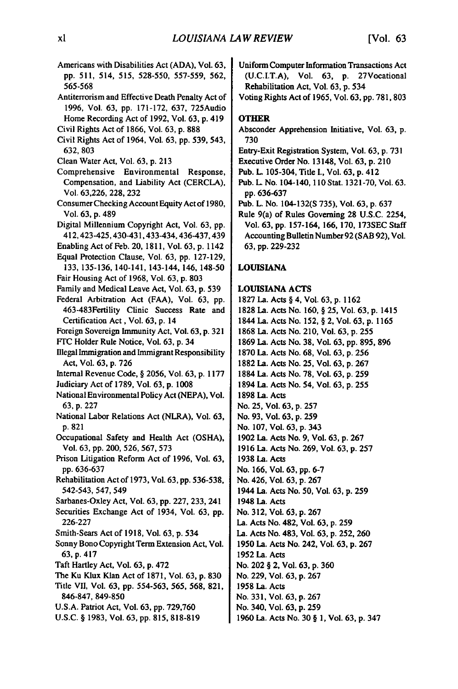- Americans with Disabilities Act **(ADA),** Vol. **63, pp.** 511, 514, 515, 528-550, 557-559, 562, 565-568 Antiterorism and Effective Death Penalty Act of 1996, Vol. **63,** pp. 171-172, 637, 725Audio Home Recording Act of 1992, Vol. 63, p. 419 Civil Rights Act of 1866, Vol. 63, p. **888**  Civil Rights Act of 1964, Vol. 63, pp. 539, 543, 632, 803 Clean Water Act, Vol. 63, p. 213 Comprehensive Environmental Response, Compensation, and liability Act (CERCLA), Vol. 63,226, 228, 232 Consumer Checking Account Equity Act of 1980, Vol. 63, p. 489 Digital Millennium Copyright Act, Vol. 63, pp. 412,423-425,430-431,433-434,436-437,439 Enabling Act of Feb. 20, 1811, Vol. 63, p. 1142 Equal Protection Clause, Vol. 63, pp. 127-129, 133, 135-136, 140-141, 143-144, 146, 148-50 Fair Housing Act of 1968, Vol. 63, p. 803 Family and Medical Leave Act, Vol. 63, p. 539 Federal Arbitration Act (FAA), Vol. 63, pp. 463-483Fertility Clinic Success Rate and Certification Act , Vol. 63, p. 14 Foreign Sovereign Immunity Act, Vol. 63, p. 321 F'C Holder Rule Notice, Vol. 63, p. 34 Illegal Immigration and Immigrant Responsibility Act, Vol. 63, p. 726 Internal Revenue Code, § 2056, Vol. 63, p. 1177 Judiciary Act of 1789, Vol. 63, p. 1008 National Environmental Policy Act (NEPA), Vol. 63, p. 227 National Labor Relations Act (NLRA), Vol. 63, p. 821 Occupational Safety and Health Act **(OSHA),**  Vol. **63, pp.** 200, **526, 567, 573**  Prison Litigation Reform Act of **1996,** Vol. **63, pp. 636-637**  Rehabilitation Act of **1973,** Vol. **63, pp. 536-538,**  542-543, 547, 549 Sarbanes-Oxley Act, Vol. **63, pp. 227, 233,** 241 Securities Exchange Act of 1934, Vol. **63, pp. 226-227**  Smith-Sears Act of **1918,** Vol. **63, p.** 534 Sonny Bono Copyright Term Extension Act, Vol. **63, p.** 4 17 Taft Hartley Act, Vol. **63, p.** 472 **8 3 0** The Ku Klux Klan Act of **1871,** Vol. **63, p.**  Title VII, Vol. **63, pp. 554-563, 565, 568, 821, 846-847, 849-850 U.S.A.** Patriot Act, Vol. **63, pp. 729,760 U.S.C.** § **1983,** Vol. **63, pp. 815, 818-819** 
	- Uniform Computer Information Transactions Act **(U.C.I.T.A),** Vol. **63, p.** 27Vocational Rehabilitation Act, Vol. **63, p.** 534
	- Voting Rights Act of **1965,** Vol. **63, pp. 781, 803**

### **OTHER**

- Absconder Apprehension Initiative, Vol. **63, p. 730**
- Entry-Exit Registration System, Vol. **63, p. 731**
- Executive Order No. 13148, Vol. **63, p. 210**
- Pub. **L.** 105-304, Title I., Vol. **63, p.** 412
- Pub. L No. 104-140, **110** Stat. **1321-70,** Vol. **63. pp. 636-637**
- Pub. L. No. 104-132(S **735),** Vol. **63, p. 637**

Rule 9(a) of Rules Governing **28 U.S.C.** 2254, Vol. **63, pp. 157-164, 166, 170, 173SEC** Staff Accounting Bulletin Number **92 (SAB 92),** Vol. **63, pp. 229-232** 

### **LOUISIANA**

#### **LOUISIANA ACTS**

**1827** La. Acts § 4, Vol. **63, p. 1162 1828** La. Acts No. **160, § 25,** Vol. **63, p.** 1415 1844 La. Acts No. **152,** § 2, Vol. **63, p. 1165 1868** La. Acts No. 210, Vol. **63, p. 255 1869** La. Acts No. **38, Vol. 63, pp. 895, 896 1870** La. Acts No. **68,** Vol. **63, p. 256 1882** La. Acts No. **25,** Vol. **63, p. 267**  1884 La. Acts No. **78,** Vol. **63, p. 259**  1894 La. Acts No. 54, Vol. **63, p. 255 1898** La. Acts No. **25,** Vol. **63, p. 257**  No. **93,** Vol. **63, p. 259**  No. **107,** Vol. **63, p.** 343 **1902** La. Acts No. **9,** Vol. **63, p. 267 1916** La. Acts No. **269,** Vol. **63, p. 257 1938** La. Acts No. **166,** Vol. **63, pp. 6-7**  No. 426, Vol. **63, p. 267**  1944 La. Acts No. **50,** Vol. **63, p. 259**  1948 La. Acts No. **312,** Vol. **63, p. 267**  La. Acts No. 482, Vol. **63, p. 259**  La. Acts No. 483, Vol. **63, p. 252, 260 1950** La. Acts No. 242, Vol. **63, p. 267 1952** La. Acts No. 202 § 2, Vol. **63, p. 360**  No. **229,** Vol. **63, p. 267 1958** La. Acts No. **331,** Vol. **63, p. 267**  No. 340, Vol. **63, p. 259 1960** La. Acts No. **30** § **1,** Vol. **63, p.** 347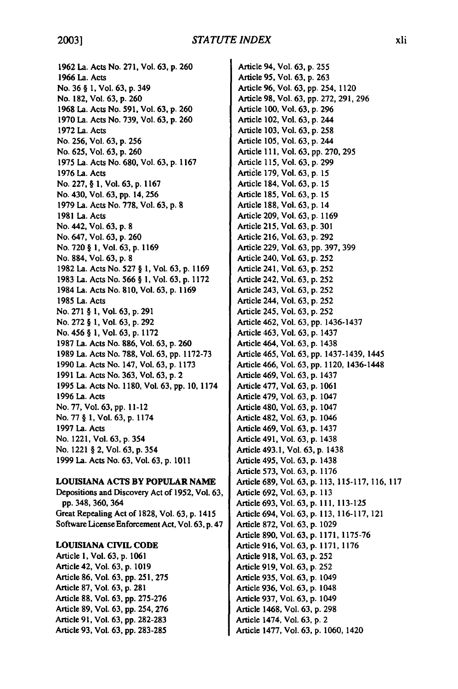**1962** La. Acts No. **271,** Vol. **63, p. 260 1966** La. Acts No. **36** § **1,** Vol. **63, p.** 349 No. **182,** Vol. **63, p. 260 1968** La. Acts No. **591,** Vol. **63, p. 260 1970 La.** Acts No. **739,** Vol. **63, p. 260 1972** La. Acts No. **256,** Vol. **63, p. 256**  No. **625,** Vol. **63, p. 260 1975** La. Acts No. **680,** Vol. **63, p. 1167 1976** La. Acts No. **227,** § **1,** Vol. **63, p. 1167**  No. 430, Vol. **63, pp.** 14, **256 1979** La. Acts No. **778,** Vol. **63, p. 8 1981** La. Acts No. 442, Vol. **63, p. 8**  No. 647, Vol. **63, p. 260**  No. **720** § **1,** Vol. **63, p. 1169**  No. **884,** Vol. **63, p. 8 1982** La. Acts No. **527 § 1,** Vol. **63, p. 1169 1983 La.** Acts No. **566** § **1,** Vol. **63, p. 1172**  1984 La. Acts No. **810,** Vol. **63, p. 1169 1985** La. Acts No. **271** § **1,** Vol. **63, p. 291**  No. **272** § **1,** Vol. **63, p. 292**  No. 456 § **1,** Vol. **63, p. 1172 1987 La.** Acts No. **886,** Vol. **63, p. 260 1989** La. Acts No. **788,** Vol. **63, pp. 1172-73 1990 La.** Acts No. 147, Vol. **63, p. 1173 1991** La. Acts No. **363,** Vol. **63, p.** 2 **1995** La. Acts No. **1180,** Vol. **63, pp. 10,** 1174 **1996** La. Acts No. **77,** Vol. **63, pp. 11-12**  No. **77** § **1,** Vol. **63, p.** 1174 **1997** La. Acts No. 1221, Vol. **63, p.** 354 No. 1221 § 2, Vol. **63, p.** 354 **1999** La. Acts No. **63,** Vol. **63, p. 1011** 

#### **LOUISIANA ACTS BY POPULAR NAME**

Depositions and Discovery Act of **1952,** Vol. **63, pp.348, 360,**364 Great Repealing Act of **1828,** Vol. **63, p.** 1415 Software License Enforcement Act, Vol. **63, p.** 4 7

#### **LOUISIANA CIVIL CODE**

Article **1,** Vol. **63, p. 1061**  Article 42, Vol. 63, **p. 1019**  Article **86,** Vol. 63, **pp. 251, 275**  Article **87,** Vol. **63, p. 281**  Article **88,** Vol. **63, pp. 275-276**  Article **89,** Vol. **63, pp.** 254, **276**  Article **91,** Vol. **63, pp. 282-283**  Article **93,** Vol. **63, pp. 283-285** 

Article 94, Vol. **63, p. 255**  Article **95,** Vol. **63, p. 263**  Article **96,** Vol. **63, pp.** 254, 1120 Article **98,** Vol. **63, pp. 272, 291, 296**  Article **100,** Vol. **63, p. 296**  Article 102, Vol. **63, p.** 244 Article **103,** Vol. **63, p. 258**  Article **105,** Vol. **63, p.** 244 Article 1**11,** Vol. **63, pp. 270, 295**  Article **115,** Vol. **63, p. 299**  Article **179,** Vol. **63, p. 15**  Article 184, Vol. **63, p. 15**  Article **185,** Vol. **63, p. 15**  Article **188,** Vol. **63, p.** 14 Article **209,** Vol. **63, p. 1169**  Article **215,** Vol. **63, p. 301**  Article **216,** Vol. **63, p. 292**  Article **229,** Vol. **63, pp. 397, 399**  Article 240, Vol. **63, p. 252**  Article 241, Vol. **63, p. 252**  Article 242, Vol. **63, p. 252**  Article 243, Vol. **63, p. 252**  Article 244, Vol. **63, p. 252**  Article 245, Vol. **63, p. 252**  Article 462, Vol. **63, pp.** 1436-1437 Article 463, Vol. **63, p.** 1437 Article 464, Vol. **63, p.** 1438 Article 465, Vol. **63, pp.** 1437-1439, 1445 Article 466, Vol. **63, pp.** 1120, 1436-1448 Article 469, Vol. **63, p.** 1437 Article **477,** Vol. **63, p. 1061**  Article 479, Vol. **63, p.** 1047 Article 480, Vol. **63, p.** 1047 Article 482, Vol. **63, p.** 1046 Article 469, Vol. **63, p.** 1437 Article 491, Vol. **63, p.** 1438 Article 493.1, Vol. **63, p.** 1438 Article 495, Vol. **63, p.** 1438 Article **573,** Vol. **63, p. 1176**  Article **689,** Vol. **63, p. 113, 115-117, 116, 117**  Article **692,** Vol. **63, p. 113**  Article **693,** Vol. **63, p. 111, 113-125**  Article 694, Vol. **63, p. 113, 116-117,** 121 Article **872,** Vol. **63, p. 1029**  Article **890,** Vol. **63, p. 1171, 1175-76**  Article **916,** Vol. **63, p. 1171, 1176**  Article **918,** Vol. **63, p. 252**  Article **919,** Vol. **63, p. 252**  Article **935,** Vol. **63, p.** 1049 Article **936,** Vol. **63, p.** 1048 Article **937,** Vol. **63, p.** 1049 Article 1468, Vol. **63, p. 298**  Article 1474, Vol. **63, p.** 2 Article **1477,** Vol. **63, p. 1060,** 1420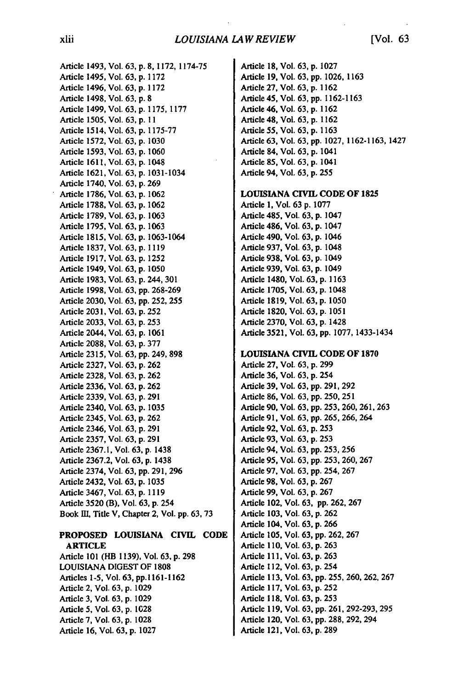### *LOUISIANA LAW REVIEW* [Vol. 63

Article 1493, Vol. **63,** p. **8, 1172, 1174-75**  Article 1495, Vol. **63, p.** 1172 Article 1496, Vol. **63,** p. **1172**  Article 1498, Vol. **63, p.** 8 Article 1499, Vol. **63,** p. **1175, 1177**  Article 1505, Vol. **63,** p. **I I**  Article 1514, Vol. **63, p. 1175-77**  Article **1572,** Vol. **63, p. 1030**  Article **1593,** Vol. **63, p. 1060**  Article 1611, Vol. **63, p.** 1048 Article **1621,** Vol. **63, p.** 1031-1034 Article 1740, Vol. **63, p. 269**  Article **1786,** Vol. 63, **p.** 1062 Article **1788,** Vol. **63, p. 1062**  Article **1789,** Vol. **63, p. 1063**  Article **1795,** Vol. **63, p.** 1063 Article 1815, Vol. **63,** p. **1063-1064**  Article **1837,** Vol. **63, p. 1119**  Article 1917, Vol. **63,** p. 1252 Article 1949, Vol. **63, p.** 1050 Article **1983,** Vol. **63, p.** 244, 301 Article 1998, Vol. **63, pp.** 268-269 Article 2030, Vol. 63, pp. 252, 255<br>Article 2031, Vol. 63, p. 252 Article 2033, Vol. **63,** p. 253 Article 2044, Vol. **63, p. 1061**  Article **2088,** Vol. **63, p. 377**  Article **2315,** Vol. **63, pp.** 249, **898**  Article **2327,** Vol. **63, p. 262**  Article **2328,** Vol. **63, p. 262**  Article **2336,** Vol. **63, p. 262**  Article **2339,** Vol. **63, p. 291**  Article 2340, Vol. **63, p. 1035**  Article 2345, Vol. **63, p. 262**  Article 2346, Vol. **63, p. 291**  Article **2357,** Vol. **63, p. 291**  Article **2367.1,** Vol. **63, p.** 1438 Article **2367.2,** Vol. **63, p.** 1438 Article 2374, Vol. **63, pp. 291, 296**  Article 2432, Vol. **63, p. 1035**  Article **3467,** Vol. **63, p. 1119**  Article **3520** (B), Vol. **63, p.** 254 Book III, Title V, Chapter 2, Vol. pp. 63, 73

#### PROPOSED **LOUISIANA** CIVIL **CODE**  ARTICLE

Article **101** (HB **1139),** Vol. **63, p. 298 LOUISIANA DIGEST** OF **1808**  Articles **1-5,** Vol. **63, pp.1161-1162**  Article 2, Vol. **63, p. 1029**  Article **3,** Vol. **63, p. 1029**  Article **5,** Vol. **63, p. 1028**  Article **7,** Vol. **63, p. 1028**  Article **16,** Vol. **63, p. 1027** 

Article **18,** Vol. 63, **p. 1027**  Article **19,** Vol. **63, pp. 1026, 1163**  Article **27,** Vol. **63, p. 1162**  Article 45, Vol. **63, pp. 1162-1163**  Article 46, Vol. **63, p. 1162**  Article 48, Vol. **63, p. 1162**  Article 55, Vol. **63, p. 1163**  Article **63,** Vol. **63, pp. 1027, 1162-1163,** 1427 Article 84, Vol. **63, p.** 1041 Article **85,** Vol. **63, p.** 1041 Article 94, Vol. **63, p. 255** 

#### **LOUISIANA CIVIL CODE** OF **1825**

Article **1,** Vol. **63 p. 1077**  Article 485, Vol. **63, p.** 1047 Article 486, Vol. **63, p.** 1047 Article 490, Vol. **63, p.** 1046 Article **937,** Vol. **63, p.** 1048 Article **938,** Vol. **63, p.** 1049 Article **939,** Vol. **63, p.** 1049 Article 1480, Vol. **63, p. 1163**  Article **1705,** Vol. **63, p.** 1048 Article **1819,** Vol. **63, p. 1050**  Article **1820,** Vol. **63, p. 1051**  Article **2370,** Vol. **63, p.** 1428 Article **3521,** Vol. **63, pp. 1077,** 1433-1434

#### **LOUISIANA CIVIL CODE OF 1870**

Article **27,** Vol. **63, p. 299**  Article **36,** Vol. **63, p.** 254 Article **39,** Vol. **63, pp. 291, 292**  Article **86,** Vol. **63, pp. 250, 251**  Article **90,** Vol. **63, pp. 253, 260, 261, 263**  Article **91,** Vol. **63, pp. 265, 266,** 264 Article **92,** Vol. **63, p. 253**  Article **93,** Vol. **63, p. 253**  Article 94, Vol. **63, pp. 253, 256**  Article **95,** Vol. **63, pp. 253, 260, 267**  Article **97,** Vol. **63, pp.** 254, **267**  Article **98,** Vol. **63, p. 267**  Article **99,** Vol. **63, p. 267**  Article 102, Vol. **63, pp. 262, 267**  Article **103,** Vol. **63, p. 262**  Article 104, Vol. **63, p. 266**  Article **105,** Vol. **63, pp. 262, 267**  Article **110,** Vol. **63, p. 263**  Article **111,** Vol. **63, p. 263**  Article **112,** Vol. **63, p.** 254 Article **113,** Vol. **63, pp. 255, 260, 262, 267**  Article **117,** Vol. **63, p. 252**  Article **118,** Vol. **63, p. 253**  Article **119,** Vol. **63, pp. 261, 292-293, 295**  Article 120, Vol. **63, pp. 288, 292,** 294 Article 121, Vol. **63, p. 289**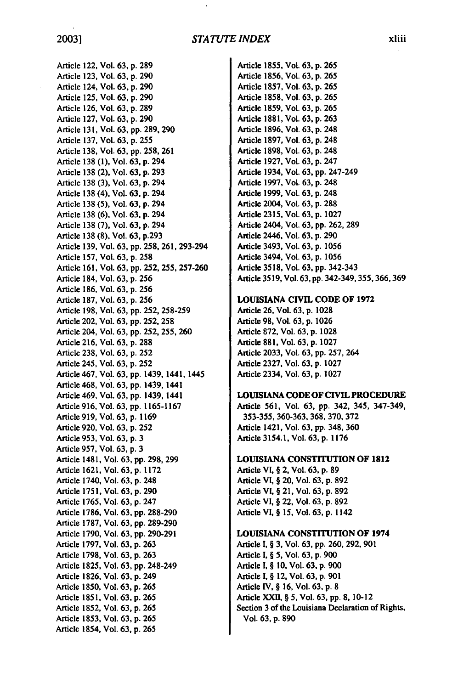Article 122, Vol. 63, p. 289 Article 123, Vol. 63, p. 290 Article 124, Vol. 63, p. 290 Article 125, Vol. 63, p. 290 Article 126, Vol. 63, **p. 289**  Article 127, Vol. 63, p. 290 Article **131,** Vol. 63, **pp.** 289, 290 Article 137, Vol. 63, p. 255 Article 138, Vol. **63,** pp. 258, 261 Article 138 (1), Vol. 63, **p.** 294 Article 138 (2), Vol. 63, p. 293 Article 138 (3), Vol. 63, p. 294 Article 138 (4), Vol. 63, p. 294 Article 138 (5), Vol. 63, p. 294 Article 138 (6), Vol. 63, p. 294 Article 138 (7), Vol. 63, p. 294 Article 138 (8), Vol. 63, p.293 Article 139, Vol. 63, pp. 258, 261, 293-294 Article **157,** Vol. **63, p. 258**  Article 161, Vol. 63, **pp.** 252, 255, 257-260 Article 184, Vol, 63, **p.** 256 Article 186, Vol. 63, **p.** 256 Article 187, Vol. 63, **p. 256**  Article 198, Vol. 63, **pp.** 252, 258-259 Article 202, Vol. 63, **pp.** 252, **258**  Article 204, Vol. 63, **pp.** 252, 255, 260 Article 216, Vol. 63, **p. 288**  Article 238, Vol. 63, **p.** 252 Article 245, Vol. 63, **p.** 252 Article 467, Vol. 63, **pp.** 1439, 1441, 1445 Article 468, Vol. 63, **pp.** 1439, 1441 Article 469, Vol. 63, **pp.** 1439, 1441 Article 916, Vol. 63, **pp.** 1165-1167 Article 919, Vol. 63, **p.** 1169 Article 920, Vol. 63, **p.** 252 Article 953, Vol. 63, **p.** 3 Article 957, Vol. 63, **p.** 3 Article 1481, Vol. 63, **pp.** 298, 299 Article 1621, Vol. 63, **p.** 1172 Article 1740, Vol. 63, p. 248 Article 1751, Vol. **63, p.** 290 Article 1765, Vol. **63, p.** 247 Article 1786, Vol. **63, pp.** 288-290 Article 1787, Vol. **63, pp.** 289-290 Article 1790, Vol. **63,** pp. 290-291 Article 1797, Vol. 63, p. 263 Article 1798, Vol. 63, **p.** 263 Article 1825, Vol. 63, **pp.** 248-249 Article 1826, Vol. 63, **p.** 249 Article 1850, Vol. **63, p.** 265 Article 1851, Vol. **63, p.** 265 Article 1852, Vol. **63,** p. 265 Article 1853, Vol. 63, p. 265 Article 1854, Vol. 63, p. 265

Article 1855, Vol. 63, **p. 265**  Article 1856, Vol. **63, p. 265**  Article 1857, Vol. 63, **p.** 265 Article **1858,** Vol. 63, **p.** 265 Article 1859, Vol. 63, **p.** 265 Article **1881,** Vol. **63, p. 263**  Article **1896,** Vol. **63, p.** 248 Article **1897,** Vol. **63, p.** 248 Article **1898,** Vol. **63, p.** 248 Article **1927,** Vol. **63, p.** 247 Article 1934, Vol. **63, pp.** 247-249 Article **1997,** Vol. **63, p.** 248 Article **1999,** Vol. **63, p.** 248 Article 2004, Vol. **63, p. 288**  Article **2315,** Vol. **63, p. 1027**  Article 2404, Vol. **63, pp. 262, 289**  Article 2446, Vol. **63, p. 290**  Article 3493, Vol. **63, p. 1056**  Article 3494, Vol. **63, p. 1056**  Article **3518,** Vol. **63, pp.** 342-343 **3 4 2 3 4 9 3 5 5 3 6 6 3 6 9** Article **3519,** Vol. **63, pp. - , , ,** 

#### **LOUISIANA** CIVIL **CODE** OF **1972**

Article **26,** Vol. **63, p. 1028**  Article **98,** Vol. **63, p. 1026**  Article **872,** Vol. **63, p. 1028**  Article **881,** Vol. **63, p. 1027**  Article **2033,** Vol. **63, pp. 257,** 264 Article **2327,** Vol. **63, p. 1027**  Article 2334, Vol. **63, p. 1027** 

#### **LOUISIANA CODE** OF **CIVIL** PROCEDURE

Article **561,** Vol. **63, pp.** 342, 345, 347-349, 353-355, 360-363, **368, 370, 372**  Article 1421, Vol. **63, pp.** 348, **360**  Article 3154.1, Vol. **63, p. 1176** 

#### **LOUISIANA** CONSTITUTION OF **1812**

Article VI, § 2, Vol. **63, p. 89**  Article VL § 20, Vol. **63, p. 892**  Article VI, § 21, Vol. **63, p. 892**  Article VI, § 22, Vol. **63, p. 892**  Article **VI,** § **15,** Vol. **63, p.** 1142

#### **LOUISIANA** CONSTITUTION OF 1974

Article **I,** § **3,** Vol. **63, pp. 260, 292, 901**  Article **1,**§ **5,** Vol. **63, p. 900**  Article **1,**§ **10,** Vol. **63, p. 900**  Article I, § 12, Vol. **63, p. 901**  Article IV, § **16,** Vol. **63, p. 8**  Article XXIL § **5,** Vol. **63, pp. 8,** 10-12 Section 3 of the Louisiana Declaration of Rights, Vol. **63, p. 890**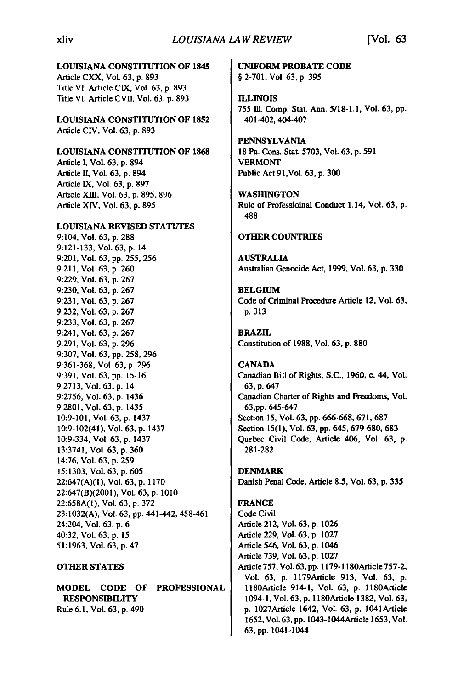#### **LOUISIANA CONSTITUTION OF 1845**

Article CXX, Vol. 63, **p. 893**  Title **VI,** Article CIX, Vol. **63, p. 893**  Title VI, Article **CVII,** Vol. **63, p. 893** 

**LOUISIANA** CONSTITUTION OF **1852**  Article **CIV,** Vol. **63, p. 893** 

#### **LOUISIANA** CONSTITUTION OF **1868**

Article **I,** Vol. **63, p.** 894 Article H, Vol. **63, p.** 894 Article **IX,** Vol. **63, p. 897**  Article Xm11, Vol. **63, p. 895, 896**  Article XIV, Vol. **63, p. 895** 

#### **LOUISIANA** REVISED **STATUTES**

9:104, Vol. **63, p. 288 9:121-133,** Vol. **63, p.** 14 **9:201,** Vol. **63, pp. 255, 256 9:211,** Vol. **63, p. 260 9:229,** Vol. **63, p. 267 9:230,** Vol. **63, p. 267 9:231,** Vol. **63, p. 267 9:232,** Vol. **63, p. 267 9:233,** Vol. **63, p. 267**  9:241, Vol. **63, p. 267 9:291,** Vol. **63, p. 296 9:307,** Vol. **63, pp. 258, 296 9:361-368,** Vol. **63, p. 296 9:391,** Vol. **63, pp. 15-16 9:2713,** Vol. **63, p.** 14 **9:2756,** Vol. **63, p.** 1436 **9:2801,** Vol. **63, p.** 1435 **10:9-101,** Vol. **63, p.** 1437 10:9-102(41), Vol. **63, p.** 1437 10:9-334, Vol. **63, p.** 1437 **13:3741,** Vol. **63, p. 360**  14:76, Vol. **63, p. 259 15:1303,** Vol. **63, p. 605 22:647(A)(1),** Vol. **63, p. 1170**  22:647(B)(2001), Vol. **63, p. 1010 22:658A(1),** Vol. **63, p. 372 23:1032(A),** Vol. **63, pp.** 441-442,458-461 24:204, Vol. **63, p. 6**  40:32, Vol. **63, p. 15 51:1963,** Vol. **63, p.** 4 7

#### **OTHER STATES**

**MODEL CODE OF PROFESSIONAL RESPONSIBILITY**  Rule **6.1,** Vol. 63, **p. 490** 

**UNIFORM PROBATE CODE § 2-701, Vol. 63, p. 395** 

**ILLINOIS 755 Ill.** Comp. Stat. Ann. **5/18-1.1,** Vol. **63, pp.**  401-402, 404-407

**PENNSYLVANIA 18** Pa. Cons. Stat. **5703,** Vol. **63, p. 591**  VERMONT Public Act 91,Vol. **63, p. 300** 

**WASHINGTON**  Rule of Professioinal Conduct 1.14, Vol. **63, p. 488** 

#### **OTHER COUNTRIES**

**AUSTRALIA**  Australian Genocide Act, **1999,** Vol. **63, p. 330** 

**BELGIUM**  Code of Criminal Procedure Article 12, Vol. **63, p. 313** 

**BRAZIL**  Constitution of **1988,** Vol. **63, p. 880** 

**CANADA**  Canadian Bill of Rights, **S.C., 1960,** c. 44, Vol. **63, p.** 647 Canadian Charter of Rights and Freedoms, Vol. **63,pp.** 645-647 Section **15,** Vol. **63, pp.** 666-668, **671, 687**  Section **15(1),** Vol. **63, pp.** 645, **679-680, 683**  Quebec Civil Code, Article 406, Vol. **63, p. 281-282** 

DENMARK Danish Penal Code, Article **8.5,** Vol. **63, p.** 335

## **FRANCE**  Code Civil

Article 212, Vol. **63, p. 1026**  Article **229,** Vol. **63, p. 1027**  Article 546, Vol. **63, p.** 1046 Article **739,** Vol. **63, p. 1027**  Article **757,** Vol. **63, pp. 1179-11 80Article 757-2,**  Vol. **63, p.** l179Article **913,** Vol. **63, p.**  l80Article 914-1, Vol. **63, p.** 1l80Article 1094-1, Vol. **63, p.** 1180Article **1382,** Vol. **63, p.** 1027Article 1642, Vol. **63, p.** 104IArticle **1652,** Vol. **63, pp.** 1043-1044Article **1653,** Vol. **63, pp.** 1041-1044

#### xliv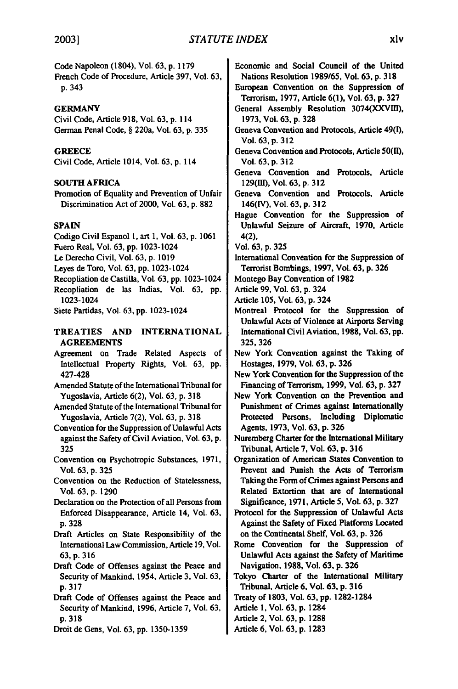Code Napoleon (1804), Vol. **63, p. 1179** Economic and Social Council of the United French Code of Procedure, Article **397,** Vol. **63,** Nations Resolution **1989/65,** Vol. **63, p. 318 p.** 343 European Convention on the Suppression of

Civil Code, Article **918,** Vol. **63, p.** 114 **1973,** Vol. **63, p. 328**  German Penal Code, § 220a, Vol. 63, p. 335 **Geneva Convention and Protocols, Article 49(I)**,

Civil Code, Article 1014, Vol. **63, p.** 114 Vol. **63, p. 312** 

Discrimination Act of 2000, Vol. **63, p. 882** 146([V), Vol. **63, p. 312** 

Codigo Civil Espanol **1,** art **1,** Vol. **63, p. 1061** 4(2),

Fuero Real, Vol. **63, pp.** 1023-1024 Vol. **63,** p. 325

- 
- 
- Recopliation de Castilla, Vol. **63, pp.** 1023-1024 Montego Bay Convention of **1982**
- Recopliation de las Indias, Vol. **63, pp.** Article **99,** Vol. **63, p.** 324 1023-1024 Article **105,** Vol. **63, p.** 324

# **AGREEMENTS 325, 326**

- Intellectual Property Rights, Vol. 63, **pp.** Hostages, **1979,** Vol. **63, p. 326**
- Amended Statute of the International Tribunal for Financing of Terrorism, 1999, Vol. 63, p. 327
- 
- Convention for the Suppression of Unlawful Acts | Agents, 1973, Vol. 63, p. 326 against the Safety of Civil Aviation, Vol. 63, p. | Nuremberg Charter for the International Military **325** Tribunal, Article **7,** Vol. **63, p. 316**
- 
- 
- 
- Draft Articles on State Responsibility of the on the Continental Shelf, Vol. 63, p. 326 International Law Commission, Article 19, Vol. Rome Convention for the Suppression of
- Draft Code of Offenses against the Peace and Navigation, **1988,** Vol. **63, p. 326 p. 3 17** Tribunal, Article **6,** Vol. **63, p. 316**
- Draft Code of Offenses against the Peace and Treaty of **1803,** Vol. **63, pp.** 1282-1284 Security of Mankind, **1996,** Article **7,** Vol. **63,** Article **1,** Vol. **63, p.** 1284 **p. 318** Article 2, Vol. **63, p. 1288**
- Droit de Gens, Vol. **63, pp. 1350-1359** Article **6.** Vol. **63, p. 1283**
- 
- Terrorism, **1977,** Article **6(1),** Vol. **63, p. 327**
- **GERMANY GERMANY General Assembly Resolution 3074(XXVIII)**,
	- Vol. **63, p. 312**
- GREECE **GREECE Geneva Convention and Protocols, Article 50(II), Geneva** Convention and Protocols, Article 50(II),
- Geneva Convention and Protocols, Article **SOUTH AFRICA** 129(III), Vol. 63, p. 312
- Promotion of Equality and Prevention of Unfair | Geneva Convention and Protocols, Article
- Hague Convention for the Suppression of **SPAIN Unlawful Seizure of Aircraft, 1970, Article** 
	-
- Le Derecho Civil, Vol. 63, p. 1019 **International Convention for the Suppression of** Leyes de Toro, Vol. **63, pp.** 1023-1024 Terrorist Bombings, **1997,** Vol. **63, p. 326** 
	-
	-
	-
- Siete Partidas, Vol. **63, pp.** 1023-1024 Montreal Protocol for the Suppression of Unlawful Acts of Violence at Airports Serving **TREATIES AND INTERNATIONAL** International Civil Aviation, **1988,** Vol. **63, pp.**
- Agreement on Trade Related Aspects of New York Convention against the Taking of
	- 427-428 New York Convention for the Suppression of the
- Yugoslavia, Article 6(2), Vol. 63, p. 318 **New York Convention on the Prevention and** Amended Statute of the International Tribunal for Punishment of Crimes against Internationally Yugoslavia, Article **7(2),** Vol. **63, p. 318** Protected Persons, Including Diplomatic
	-
- Convention on Psychotropic Substances, **1971,** Organization of American States Convention to Vol. **63, p. 325** Prevent and Punish the Acts of Terrorism Convention on the Reduction of Statelessness, Taking the Form of Crimes against Persons and Vol. **63, p. 1290** Related Extortion that are of International Declaration on the Protection of all Persons from Significance, 1971, Article 5, Vol. 63, p. 327
	- Enforced Disappearance, Article 14, Vol. **63,** Protocol for the Suppression of Unlawful Acts **p. 328 Against the Safety of Fixed Platforms Located**
	- **63, p. 316** Unlawful Acts against the Safety of Maritime
	- Security of Mankind, 1954, Article **3,** Vol. **63,** Tokyo Charter of the International Military
		-
		-
		-
		-